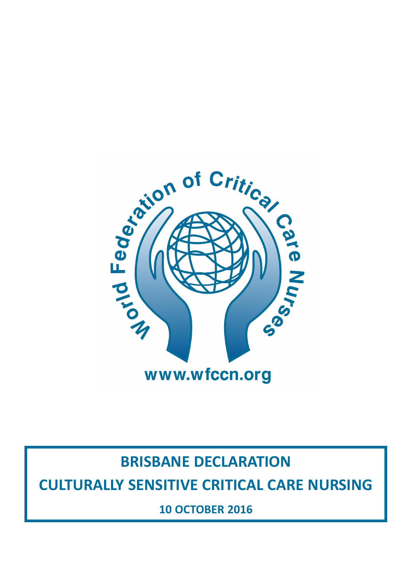

# **BRISBANE DECLARATION CULTURALLY SENSITIVE CRITICAL CARE NURSING**

**10 OCTOBER 2016**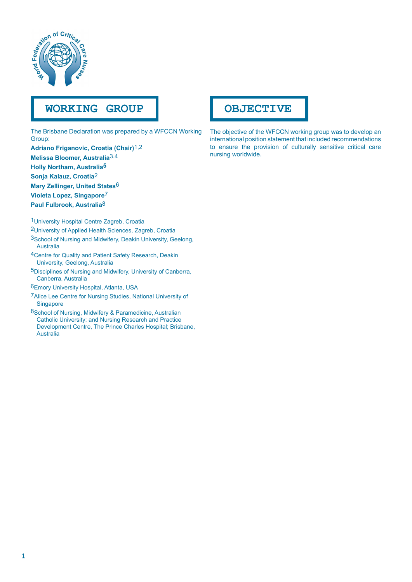

# **WORKING GROUP**

The Brisbane Declaration was prepared by a WFCCN Working Group:

**Adriano Friganovic, Croatia (Chair)**1,2 **Melissa Bloomer, Australia**3,4 **Holly Northam, Australia5 Sonja Kalauz, Croatia**2 **Mary Zellinger, United States**6 **Violeta Lopez, Singapore**7 **Paul Fulbrook, Australia**8

1University Hospital Centre Zagreb, Croatia

2University of Applied Health Sciences, Zagreb, Croatia 3School of Nursing and Midwifery, Deakin University, Geelong, Australia

4Centre for Quality and Patient Safety Research, Deakin University, Geelong, Australia

5Disciplines of Nursing and Midwifery, University of Canberra, Canberra, Australia

6Emory University Hospital, Atlanta, USA

7Alice Lee Centre for Nursing Studies, National University of Singapore

8School of Nursing, Midwifery & Paramedicine, Australian Catholic University; and Nursing Research and Practice Development Centre, The Prince Charles Hospital; Brisbane, Australia

## **OBJECTIVE**

The objective of the WFCCN working group was to develop an international position statement that included recommendations to ensure the provision of culturally sensitive critical care nursing worldwide.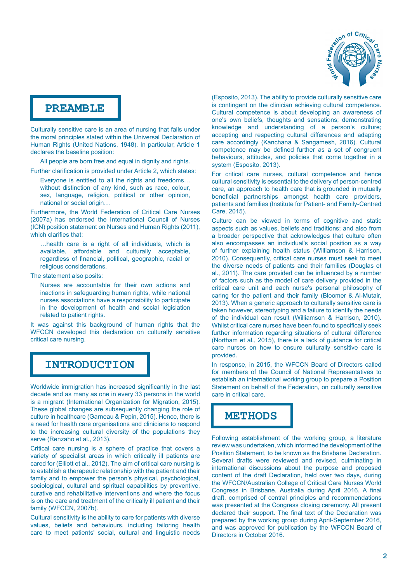

### **PREAMBLE**

Culturally sensitive care is an area of nursing that falls under the moral principles stated within the Universal Declaration of Human Rights (United Nations, 1948). In particular, Article 1 declares the baseline position:

All people are born free and equal in dignity and rights.

Further clarification is provided under Article 2, which states:

Everyone is entitled to all the rights and freedoms… without distinction of any kind, such as race, colour, sex, language, religion, political or other opinion, national or social origin…

Furthermore, the World Federation of Critical Care Nurses (2007a) has endorsed the International Council of Nurses (ICN) position statement on Nurses and Human Rights (2011), which clarifies that:

…health care is a right of all individuals, which is available, affordable and culturally acceptable, regardless of financial, political, geographic, racial or religious considerations.

The statement also posits:

Nurses are accountable for their own actions and inactions in safeguarding human rights, while national nurses associations have a responsibility to participate in the development of health and social legislation related to patient rights.

It was against this background of human rights that the WFCCN developed this declaration on culturally sensitive critical care nursing.

### **INTRODUCTION**

Worldwide immigration has increased significantly in the last decade and as many as one in every 33 persons in the world is a migrant (International Organization for Migration, 2015). These global changes are subsequently changing the role of culture in healthcare (Garneau & Pepin, 2015). Hence, there is a need for health care organisations and clinicians to respond to the increasing cultural diversity of the populations they serve (Renzaho et al., 2013).

Critical care nursing is a sphere of practice that covers a variety of specialist areas in which critically ill patients are cared for (Elliott et al., 2012). The aim of critical care nursing is to establish a therapeutic relationship with the patient and their family and to empower the person's physical, psychological, sociological, cultural and spiritual capabilities by preventive, curative and rehabilitative interventions and where the focus is on the care and treatment of the critically ill patient and their family (WFCCN, 2007b).

Cultural sensitivity is the ability to care for patients with diverse values, beliefs and behaviours, including tailoring health care to meet patients' social, cultural and linguistic needs (Esposito, 2013). The ability to provide culturally sensitive care is contingent on the clinician achieving cultural competence. Cultural competence is about developing an awareness of one's own beliefs, thoughts and sensations; demonstrating knowledge and understanding of a person's culture; accepting and respecting cultural differences and adapting care accordingly (Kanchana & Sangamesh, 2016). Cultural competence may be defined further as a set of congruent behaviours, attitudes, and policies that come together in a system (Esposito, 2013).

For critical care nurses, cultural competence and hence cultural sensitivity is essential to the delivery of person-centred care, an approach to health care that is grounded in mutually beneficial partnerships amongst health care providers, patients and families (Institute for Patient- and Family-Centred Care, 2015).

Culture can be viewed in terms of cognitive and static aspects such as values, beliefs and traditions; and also from a broader perspective that acknowledges that culture often also encompasses an individual's social position as a way of further explaining health status (Williamson & Harrison, 2010). Consequently, critical care nurses must seek to meet the diverse needs of patients and their families (Douglas et al., 2011). The care provided can be influenced by a number of factors such as the model of care delivery provided in the critical care unit and each nurse's personal philosophy of caring for the patient and their family (Bloomer & Al-Mutair, 2013). When a generic approach to culturally sensitive care is taken however, stereotyping and a failure to identify the needs of the individual can result (Williamson & Harrison, 2010). Whilst critical care nurses have been found to specifically seek further information regarding situations of cultural difference (Northam et al., 2015), there is a lack of guidance for critical care nurses on how to ensure culturally sensitive care is provided.

In response, in 2015, the WFCCN Board of Directors called for members of the Council of National Representatives to establish an international working group to prepare a Position Statement on behalf of the Federation, on culturally sensitive care in critical care.

## **METHODS**

Following establishment of the working group, a literature review was undertaken, which informed the development of the Position Statement, to be known as the Brisbane Declaration. Several drafts were reviewed and revised, culminating in international discussions about the purpose and proposed content of the draft Declaration, held over two days, during the WFCCN/Australian College of Critical Care Nurses World Congress in Brisbane, Australia during April 2016. A final draft, comprised of central principles and recommendations was presented at the Congress closing ceremony. All present declared their support. The final text of the Declaration was prepared by the working group during April-September 2016, and was approved for publication by the WFCCN Board of Directors in October 2016.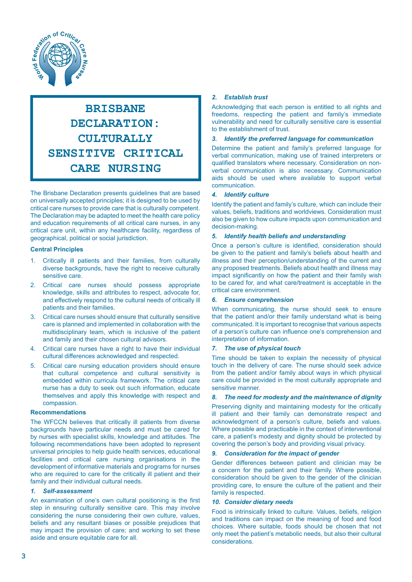

# **BRISBANE DECLARATION: CULTURALLY SENSITIVE CRITICAL CARE NURSING**

The Brisbane Declaration presents guidelines that are based on universally accepted principles; it is designed to be used by critical care nurses to provide care that is culturally competent. The Declaration may be adapted to meet the health care policy and education requirements of all critical care nurses, in any critical care unit, within any healthcare facility, regardless of geographical, political or social jurisdiction.

#### **Central Principles**

- 1. Critically ill patients and their families, from culturally diverse backgrounds, have the right to receive culturally sensitive care.
- 2. Critical care nurses should possess appropriate knowledge, skills and attributes to respect, advocate for, and effectively respond to the cultural needs of critically ill patients and their families.
- 3. Critical care nurses should ensure that culturally sensitive care is planned and implemented in collaboration with the multidisciplinary team, which is inclusive of the patient and family and their chosen cultural advisors.
- 4. Critical care nurses have a right to have their individual cultural differences acknowledged and respected.
- 5. Critical care nursing education providers should ensure that cultural competence and cultural sensitivity is embedded within curricula framework. The critical care nurse has a duty to seek out such information, educate themselves and apply this knowledge with respect and compassion.

#### **Recommendations**

The WFCCN believes that critically ill patients from diverse backgrounds have particular needs and must be cared for by nurses with specialist skills, knowledge and attitudes. The following recommendations have been adopted to represent universal principles to help guide health services, educational facilities and critical care nursing organisations in the development of informative materials and programs for nurses who are required to care for the critically ill patient and their family and their individual cultural needs.

#### *1. Self-assessment*

An examination of one's own cultural positioning is the first step in ensuring culturally sensitive care. This may involve considering the nurse considering their own culture, values, beliefs and any resultant biases or possible prejudices that may impact the provision of care; and working to set these aside and ensure equitable care for all.

#### *2. Establish trust*

Acknowledging that each person is entitled to all rights and freedoms, respecting the patient and family's immediate vulnerability and need for culturally sensitive care is essential to the establishment of trust.

#### *3. Identify the preferred language for communication*

Determine the patient and family's preferred language for verbal communication, making use of trained interpreters or qualified translators where necessary. Consideration on nonverbal communication is also necessary. Communication aids should be used where available to support verbal communication.

#### *4. Identify culture*

Identify the patient and family's culture, which can include their values, beliefs, traditions and worldviews. Consideration must also be given to how culture impacts upon communication and decision-making.

#### *5. Identify health beliefs and understanding*

Once a person's culture is identified, consideration should be given to the patient and family's beliefs about health and illness and their perception/understanding of the current and any proposed treatments. Beliefs about health and illness may impact significantly on how the patient and their family wish to be cared for, and what care/treatment is acceptable in the critical care environment.

#### *6. Ensure comprehension*

When communicating, the nurse should seek to ensure that the patient and/or their family understand what is being communicated. It is important to recognise that various aspects of a person's culture can influence one's comprehension and interpretation of information.

#### *7. The use of physical touch*

Time should be taken to explain the necessity of physical touch in the delivery of care. The nurse should seek advice from the patient and/or family about ways in which physical care could be provided in the most culturally appropriate and sensitive manner.

#### *8. The need for modesty and the maintenance of dignity*

Preserving dignity and maintaining modesty for the critically ill patient and their family can demonstrate respect and acknowledgment of a person's culture, beliefs and values. Where possible and practicable in the context of interventional care, a patient's modesty and dignity should be protected by covering the person's body and providing visual privacy.

#### *9. Consideration for the impact of gender*

Gender differences between patient and clinician may be a concern for the patient and their family. Where possible, consideration should be given to the gender of the clinician providing care, to ensure the culture of the patient and their family is respected.

#### *10. Consider dietary needs*

Food is intrinsically linked to culture. Values, beliefs, religion and traditions can impact on the meaning of food and food choices. Where suitable, foods should be chosen that not only meet the patient's metabolic needs, but also their cultural considerations.